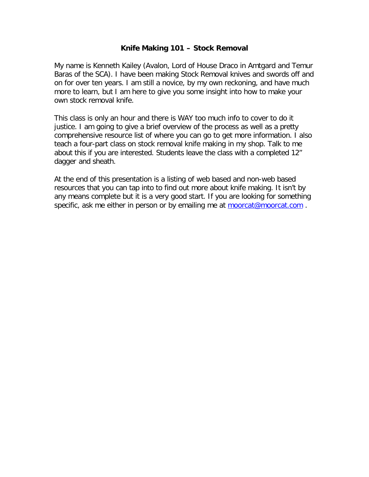#### **Knife Making 101 – Stock Removal**

My name is Kenneth Kailey (Avalon, Lord of House Draco in Amtgard and Temur Baras of the SCA). I have been making Stock Removal knives and swords off and on for over ten years. I am still a novice, by my own reckoning, and have much more to learn, but I am here to give you some insight into how to make your own stock removal knife.

This class is only an hour and there is WAY too much info to cover to do it justice. I am going to give a brief overview of the process as well as a pretty comprehensive resource list of where you can go to get more information. I also teach a four-part class on stock removal knife making in my shop. Talk to me about this if you are interested. Students leave the class with a completed 12" dagger and sheath.

At the end of this presentation is a listing of web based and non-web based resources that you can tap into to find out more about knife making. It isn't by any means complete but it is a very good start. If you are looking for something specific, ask me either in person or by emailing me at moorcat@moorcat.com.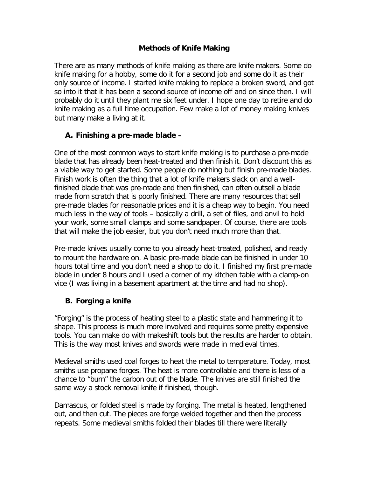#### **Methods of Knife Making**

There are as many methods of knife making as there are knife makers. Some do knife making for a hobby, some do it for a second job and some do it as their only source of income. I started knife making to replace a broken sword, and got so into it that it has been a second source of income off and on since then. I will probably do it until they plant me six feet under. I hope one day to retire and do knife making as a full time occupation. Few make a lot of money making knives but many make a living at it.

### **A. Finishing a pre-made blade –**

One of the most common ways to start knife making is to purchase a pre-made blade that has already been heat-treated and then finish it. Don't discount this as a viable way to get started. Some people do nothing but finish pre-made blades. Finish work is often the thing that a lot of knife makers slack on and a wellfinished blade that was pre-made and then finished, can often outsell a blade made from scratch that is poorly finished. There are many resources that sell pre-made blades for reasonable prices and it is a cheap way to begin. You need much less in the way of tools – basically a drill, a set of files, and anvil to hold your work, some small clamps and some sandpaper. Of course, there are tools that will make the job easier, but you don't need much more than that.

Pre-made knives usually come to you already heat-treated, polished, and ready to mount the hardware on. A basic pre-made blade can be finished in under 10 hours total time and you don't need a shop to do it. I finished my first pre-made blade in under 8 hours and I used a corner of my kitchen table with a clamp-on vice (I was living in a basement apartment at the time and had no shop).

#### **B. Forging a knife**

"Forging" is the process of heating steel to a plastic state and hammering it to shape. This process is much more involved and requires some pretty expensive tools. You can make do with makeshift tools but the results are harder to obtain. This is the way most knives and swords were made in medieval times.

Medieval smiths used coal forges to heat the metal to temperature. Today, most smiths use propane forges. The heat is more controllable and there is less of a chance to "burn" the carbon out of the blade. The knives are still finished the same way a stock removal knife if finished, though.

Damascus, or folded steel is made by forging. The metal is heated, lengthened out, and then cut. The pieces are forge welded together and then the process repeats. Some medieval smiths folded their blades till there were literally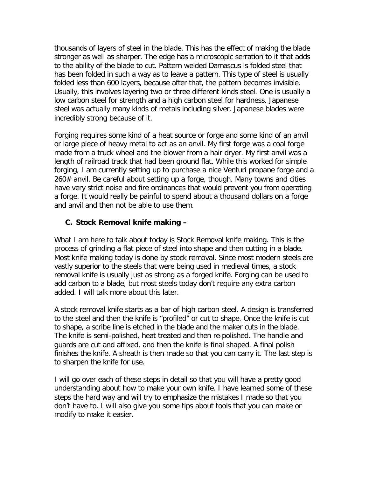thousands of layers of steel in the blade. This has the effect of making the blade stronger as well as sharper. The edge has a microscopic serration to it that adds to the ability of the blade to cut. Pattern welded Damascus is folded steel that has been folded in such a way as to leave a pattern. This type of steel is usually folded less than 600 layers, because after that, the pattern becomes invisible. Usually, this involves layering two or three different kinds steel. One is usually a low carbon steel for strength and a high carbon steel for hardness. Japanese steel was actually many kinds of metals including silver. Japanese blades were incredibly strong because of it.

Forging requires some kind of a heat source or forge and some kind of an anvil or large piece of heavy metal to act as an anvil. My first forge was a coal forge made from a truck wheel and the blower from a hair dryer. My first anvil was a length of railroad track that had been ground flat. While this worked for simple forging, I am currently setting up to purchase a nice Venturi propane forge and a 260# anvil. Be careful about setting up a forge, though. Many towns and cities have very strict noise and fire ordinances that would prevent you from operating a forge. It would really be painful to spend about a thousand dollars on a forge and anvil and then not be able to use them.

### **C. Stock Removal knife making –**

What I am here to talk about today is Stock Removal knife making. This is the process of grinding a flat piece of steel into shape and then cutting in a blade. Most knife making today is done by stock removal. Since most modern steels are vastly superior to the steels that were being used in medieval times, a stock removal knife is usually just as strong as a forged knife. Forging can be used to add carbon to a blade, but most steels today don't require any extra carbon added. I will talk more about this later.

A stock removal knife starts as a bar of high carbon steel. A design is transferred to the steel and then the knife is "profiled" or cut to shape. Once the knife is cut to shape, a scribe line is etched in the blade and the maker cuts in the blade. The knife is semi-polished, heat treated and then re-polished. The handle and guards are cut and affixed, and then the knife is final shaped. A final polish finishes the knife. A sheath is then made so that you can carry it. The last step is to sharpen the knife for use.

I will go over each of these steps in detail so that you will have a pretty good understanding about how to make your own knife. I have learned some of these steps the hard way and will try to emphasize the mistakes I made so that you don't have to. I will also give you some tips about tools that you can make or modify to make it easier.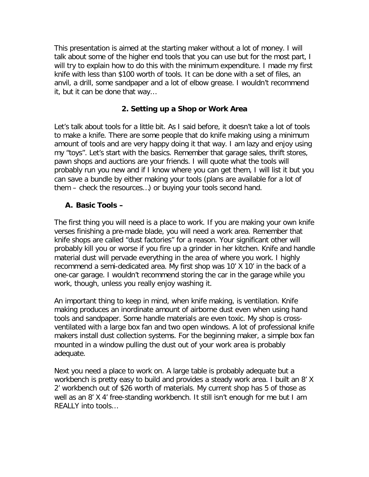This presentation is aimed at the starting maker without a lot of money. I will talk about some of the higher end tools that you can use but for the most part, I will try to explain how to do this with the minimum expenditure. I made my first knife with less than \$100 worth of tools. It can be done with a set of files, an anvil, a drill, some sandpaper and a lot of elbow grease. I wouldn't recommend it, but it can be done that way…

#### **2. Setting up a Shop or Work Area**

Let's talk about tools for a little bit. As I said before, it doesn't take a lot of tools to make a knife. There are some people that do knife making using a minimum amount of tools and are very happy doing it that way. I am lazy and enjoy using my "toys". Let's start with the basics. Remember that garage sales, thrift stores, pawn shops and auctions are your friends. I will quote what the tools will probably run you new and if I know where you can get them, I will list it but you can save a bundle by either making your tools (plans are available for a lot of them – check the resources…) or buying your tools second hand.

#### **A. Basic Tools –**

The first thing you will need is a place to work. If you are making your own knife verses finishing a pre-made blade, you will need a work area. Remember that knife shops are called "dust factories" for a reason. Your significant other will probably kill you or worse if you fire up a grinder in her kitchen. Knife and handle material dust will pervade everything in the area of where you work. I highly recommend a semi-dedicated area. My first shop was 10' X 10' in the back of a one-car garage. I wouldn't recommend storing the car in the garage while you work, though, unless you really enjoy washing it.

An important thing to keep in mind, when knife making, is ventilation. Knife making produces an inordinate amount of airborne dust even when using hand tools and sandpaper. Some handle materials are even toxic. My shop is crossventilated with a large box fan and two open windows. A lot of professional knife makers install dust collection systems. For the beginning maker, a simple box fan mounted in a window pulling the dust out of your work area is probably adequate.

Next you need a place to work on. A large table is probably adequate but a workbench is pretty easy to build and provides a steady work area. I built an 8' X 2' workbench out of \$26 worth of materials. My current shop has 5 of those as well as an 8' X 4' free-standing workbench. It still isn't enough for me but I am REALLY into tools…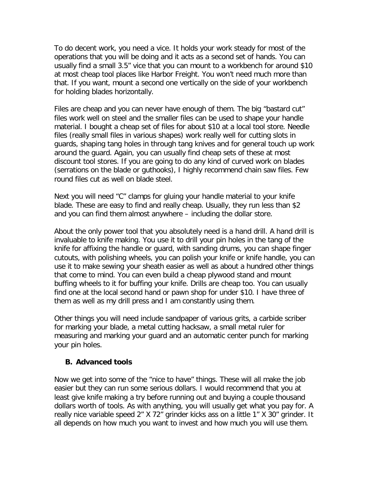To do decent work, you need a vice. It holds your work steady for most of the operations that you will be doing and it acts as a second set of hands. You can usually find a small 3.5" vice that you can mount to a workbench for around \$10 at most cheap tool places like Harbor Freight. You won't need much more than that. If you want, mount a second one vertically on the side of your workbench for holding blades horizontally.

Files are cheap and you can never have enough of them. The big "bastard cut" files work well on steel and the smaller files can be used to shape your handle material. I bought a cheap set of files for about \$10 at a local tool store. Needle files (really small files in various shapes) work really well for cutting slots in guards, shaping tang holes in through tang knives and for general touch up work around the guard. Again, you can usually find cheap sets of these at most discount tool stores. If you are going to do any kind of curved work on blades (serrations on the blade or guthooks), I highly recommend chain saw files. Few round files cut as well on blade steel.

Next you will need "C" clamps for gluing your handle material to your knife blade. These are easy to find and really cheap. Usually, they run less than \$2 and you can find them almost anywhere – including the dollar store.

About the only power tool that you absolutely need is a hand drill. A hand drill is invaluable to knife making. You use it to drill your pin holes in the tang of the knife for affixing the handle or guard, with sanding drums, you can shape finger cutouts, with polishing wheels, you can polish your knife or knife handle, you can use it to make sewing your sheath easier as well as about a hundred other things that come to mind. You can even build a cheap plywood stand and mount buffing wheels to it for buffing your knife. Drills are cheap too. You can usually find one at the local second hand or pawn shop for under \$10. I have three of them as well as my drill press and I am constantly using them.

Other things you will need include sandpaper of various grits, a carbide scriber for marking your blade, a metal cutting hacksaw, a small metal ruler for measuring and marking your guard and an automatic center punch for marking your pin holes.

#### **B. Advanced tools**

Now we get into some of the "nice to have" things. These will all make the job easier but they can run some serious dollars. I would recommend that you at least give knife making a try before running out and buying a couple thousand dollars worth of tools. As with anything, you will usually get what you pay for. A really nice variable speed 2" X 72" grinder kicks ass on a little 1" X 30" grinder. It all depends on how much you want to invest and how much you will use them.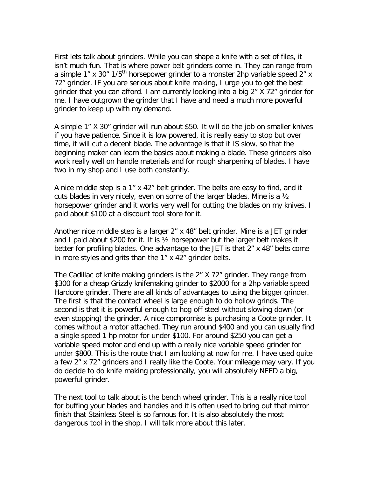First lets talk about grinders. While you can shape a knife with a set of files, it isn't much fun. That is where power belt grinders come in. They can range from a simple 1" x 30"  $1/5$ <sup>th</sup> horsepower grinder to a monster 2hp variable speed 2" x 72" grinder. IF you are serious about knife making, I urge you to get the best grinder that you can afford. I am currently looking into a big 2" X 72" grinder for me. I have outgrown the grinder that I have and need a much more powerful grinder to keep up with my demand.

A simple 1" X 30" grinder will run about \$50. It will do the job on smaller knives if you have patience. Since it is low powered, it is really easy to stop but over time, it will cut a decent blade. The advantage is that it IS slow, so that the beginning maker can learn the basics about making a blade. These grinders also work really well on handle materials and for rough sharpening of blades. I have two in my shop and I use both constantly.

A nice middle step is a 1" x 42" belt grinder. The belts are easy to find, and it cuts blades in very nicely, even on some of the larger blades. Mine is a ½ horsepower grinder and it works very well for cutting the blades on my knives. I paid about \$100 at a discount tool store for it.

Another nice middle step is a larger 2" x 48" belt grinder. Mine is a JET grinder and I paid about \$200 for it. It is ½ horsepower but the larger belt makes it better for profiling blades. One advantage to the JET is that 2" x 48" belts come in more styles and grits than the 1" x 42" grinder belts.

The Cadillac of knife making grinders is the 2" X 72" grinder. They range from \$300 for a cheap Grizzly knifemaking grinder to \$2000 for a 2hp variable speed Hardcore grinder. There are all kinds of advantages to using the bigger grinder. The first is that the contact wheel is large enough to do hollow grinds. The second is that it is powerful enough to hog off steel without slowing down (or even stopping) the grinder. A nice compromise is purchasing a Coote grinder. It comes without a motor attached. They run around \$400 and you can usually find a single speed 1 hp motor for under \$100. For around \$250 you can get a variable speed motor and end up with a really nice variable speed grinder for under \$800. This is the route that I am looking at now for me. I have used quite a few 2" x 72" grinders and I really like the Coote. Your mileage may vary. If you do decide to do knife making professionally, you will absolutely NEED a big, powerful grinder.

The next tool to talk about is the bench wheel grinder. This is a really nice tool for buffing your blades and handles and it is often used to bring out that mirror finish that Stainless Steel is so famous for. It is also absolutely the most dangerous tool in the shop. I will talk more about this later.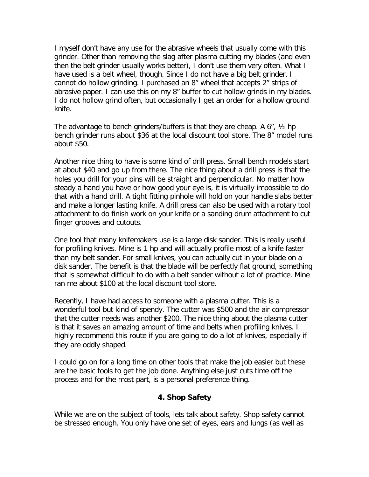I myself don't have any use for the abrasive wheels that usually come with this grinder. Other than removing the slag after plasma cutting my blades (and even then the belt grinder usually works better), I don't use them very often. What I have used is a belt wheel, though. Since I do not have a big belt grinder, I cannot do hollow grinding. I purchased an 8" wheel that accepts 2" strips of abrasive paper. I can use this on my 8" buffer to cut hollow grinds in my blades. I do not hollow grind often, but occasionally I get an order for a hollow ground knife.

The advantage to bench grinders/buffers is that they are cheap. A 6", ½ hp bench grinder runs about \$36 at the local discount tool store. The 8" model runs about \$50.

Another nice thing to have is some kind of drill press. Small bench models start at about \$40 and go up from there. The nice thing about a drill press is that the holes you drill for your pins will be straight and perpendicular. No matter how steady a hand you have or how good your eye is, it is virtually impossible to do that with a hand drill. A tight fitting pinhole will hold on your handle slabs better and make a longer lasting knife. A drill press can also be used with a rotary tool attachment to do finish work on your knife or a sanding drum attachment to cut finger grooves and cutouts.

One tool that many knifemakers use is a large disk sander. This is really useful for profiling knives. Mine is 1 hp and will actually profile most of a knife faster than my belt sander. For small knives, you can actually cut in your blade on a disk sander. The benefit is that the blade will be perfectly flat ground, something that is somewhat difficult to do with a belt sander without a lot of practice. Mine ran me about \$100 at the local discount tool store.

Recently, I have had access to someone with a plasma cutter. This is a wonderful tool but kind of spendy. The cutter was \$500 and the air compressor that the cutter needs was another \$200. The nice thing about the plasma cutter is that it saves an amazing amount of time and belts when profiling knives. I highly recommend this route if you are going to do a lot of knives, especially if they are oddly shaped.

I could go on for a long time on other tools that make the job easier but these are the basic tools to get the job done. Anything else just cuts time off the process and for the most part, is a personal preference thing.

#### **4. Shop Safety**

While we are on the subject of tools, lets talk about safety. Shop safety cannot be stressed enough. You only have one set of eyes, ears and lungs (as well as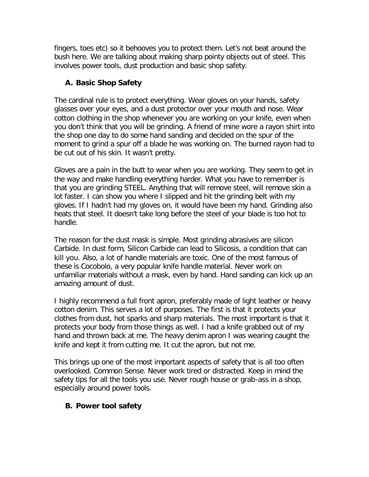fingers, toes etc) so it behooves you to protect them. Let's not beat around the bush here. We are talking about making sharp pointy objects out of steel. This involves power tools, dust production and basic shop safety.

# **A. Basic Shop Safety**

The cardinal rule is to protect everything. Wear gloves on your hands, safety glasses over your eyes, and a dust protector over your mouth and nose. Wear cotton clothing in the shop whenever you are working on your knife, even when you don't think that you will be grinding. A friend of mine wore a rayon shirt into the shop one day to do some hand sanding and decided on the spur of the moment to grind a spur off a blade he was working on. The burned rayon had to be cut out of his skin. It wasn't pretty.

Gloves are a pain in the butt to wear when you are working. They seem to get in the way and make handling everything harder. What you have to remember is that you are grinding STEEL. Anything that will remove steel, will remove skin a lot faster. I can show you where I slipped and hit the grinding belt with my gloves. If I hadn't had my gloves on, it would have been my hand. Grinding also heats that steel. It doesn't take long before the steel of your blade is too hot to handle.

The reason for the dust mask is simple. Most grinding abrasives are silicon Carbide. In dust form, Silicon Carbide can lead to Silicosis, a condition that can kill you. Also, a lot of handle materials are toxic. One of the most famous of these is Cocobolo, a very popular knife handle material. Never work on unfamiliar materials without a mask, even by hand. Hand sanding can kick up an amazing amount of dust.

I highly recommend a full front apron, preferably made of light leather or heavy cotton denim. This serves a lot of purposes. The first is that it protects your clothes from dust, hot sparks and sharp materials. The most important is that it protects your body from those things as well. I had a knife grabbed out of my hand and thrown back at me. The heavy denim apron I was wearing caught the knife and kept it from cutting me. It cut the apron, but not me.

This brings up one of the most important aspects of safety that is all too often overlooked. Common Sense. Never work tired or distracted. Keep in mind the safety tips for all the tools you use. Never rough house or grab-ass in a shop, especially around power tools.

# **B. Power tool safety**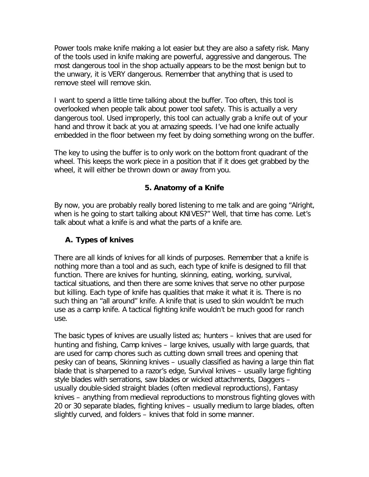Power tools make knife making a lot easier but they are also a safety risk. Many of the tools used in knife making are powerful, aggressive and dangerous. The most dangerous tool in the shop actually appears to be the most benign but to the unwary, it is VERY dangerous. Remember that anything that is used to remove steel will remove skin.

I want to spend a little time talking about the buffer. Too often, this tool is overlooked when people talk about power tool safety. This is actually a very dangerous tool. Used improperly, this tool can actually grab a knife out of your hand and throw it back at you at amazing speeds. I've had one knife actually embedded in the floor between my feet by doing something wrong on the buffer.

The key to using the buffer is to only work on the bottom front quadrant of the wheel. This keeps the work piece in a position that if it does get grabbed by the wheel, it will either be thrown down or away from you.

### **5. Anatomy of a Knife**

By now, you are probably really bored listening to me talk and are going "Alright, when is he going to start talking about KNIVES?" Well, that time has come. Let's talk about what a knife is and what the parts of a knife are.

### **A. Types of knives**

There are all kinds of knives for all kinds of purposes. Remember that a knife is nothing more than a tool and as such, each type of knife is designed to fill that function. There are knives for hunting, skinning, eating, working, survival, tactical situations, and then there are some knives that serve no other purpose but killing. Each type of knife has qualities that make it what it is. There is no such thing an "all around" knife. A knife that is used to skin wouldn't be much use as a camp knife. A tactical fighting knife wouldn't be much good for ranch use.

The basic types of knives are usually listed as; hunters – knives that are used for hunting and fishing, Camp knives – large knives, usually with large guards, that are used for camp chores such as cutting down small trees and opening that pesky can of beans, Skinning knives – usually classified as having a large thin flat blade that is sharpened to a razor's edge, Survival knives – usually large fighting style blades with serrations, saw blades or wicked attachments, Daggers – usually double-sided straight blades (often medieval reproductions), Fantasy knives – anything from medieval reproductions to monstrous fighting gloves with 20 or 30 separate blades, fighting knives – usually medium to large blades, often slightly curved, and folders – knives that fold in some manner.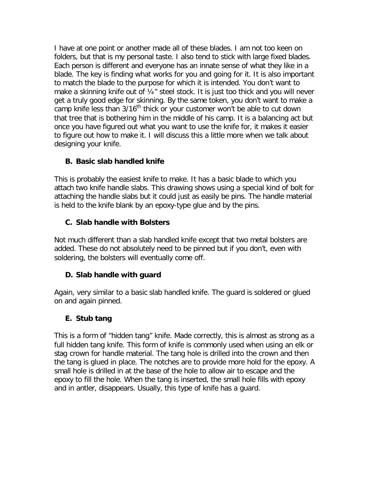I have at one point or another made all of these blades. I am not too keen on folders, but that is my personal taste. I also tend to stick with large fixed blades. Each person is different and everyone has an innate sense of what they like in a blade. The key is finding what works for you and going for it. It is also important to match the blade to the purpose for which it is intended. You don't want to make a skinning knife out of 1/4" steel stock. It is just too thick and you will never get a truly good edge for skinning. By the same token, you don't want to make a camp knife less than 3/16<sup>th</sup> thick or your customer won't be able to cut down that tree that is bothering him in the middle of his camp. It is a balancing act but once you have figured out what you want to use the knife for, it makes it easier to figure out how to make it. I will discuss this a little more when we talk about designing your knife.

## **B. Basic slab handled knife**

This is probably the easiest knife to make. It has a basic blade to which you attach two knife handle slabs. This drawing shows using a special kind of bolt for attaching the handle slabs but it could just as easily be pins. The handle material is held to the knife blank by an epoxy-type glue and by the pins.

#### **C. Slab handle with Bolsters**

Not much different than a slab handled knife except that two metal bolsters are added. These do not absolutely need to be pinned but if you don't, even with soldering, the bolsters will eventually come off.

### **D. Slab handle with guard**

Again, very similar to a basic slab handled knife. The guard is soldered or glued on and again pinned.

#### **E. Stub tang**

This is a form of "hidden tang" knife. Made correctly, this is almost as strong as a full hidden tang knife. This form of knife is commonly used when using an elk or stag crown for handle material. The tang hole is drilled into the crown and then the tang is glued in place. The notches are to provide more hold for the epoxy. A small hole is drilled in at the base of the hole to allow air to escape and the epoxy to fill the hole. When the tang is inserted, the small hole fills with epoxy and in antler, disappears. Usually, this type of knife has a guard.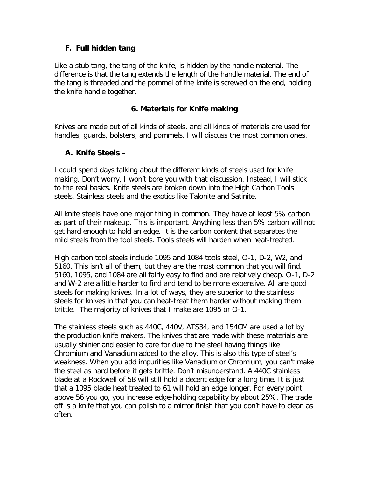#### **F. Full hidden tang**

Like a stub tang, the tang of the knife, is hidden by the handle material. The difference is that the tang extends the length of the handle material. The end of the tang is threaded and the pommel of the knife is screwed on the end, holding the knife handle together.

#### **6. Materials for Knife making**

Knives are made out of all kinds of steels, and all kinds of materials are used for handles, guards, bolsters, and pommels. I will discuss the most common ones.

### **A. Knife Steels –**

I could spend days talking about the different kinds of steels used for knife making. Don't worry, I won't bore you with that discussion. Instead, I will stick to the real basics. Knife steels are broken down into the High Carbon Tools steels, Stainless steels and the exotics like Talonite and Satinite.

All knife steels have one major thing in common. They have at least 5% carbon as part of their makeup. This is important. Anything less than 5% carbon will not get hard enough to hold an edge. It is the carbon content that separates the mild steels from the tool steels. Tools steels will harden when heat-treated.

High carbon tool steels include 1095 and 1084 tools steel, O-1, D-2, W2, and 5160. This isn't all of them, but they are the most common that you will find. 5160, 1095, and 1084 are all fairly easy to find and are relatively cheap. O-1, D-2 and W-2 are a little harder to find and tend to be more expensive. All are good steels for making knives. In a lot of ways, they are superior to the stainless steels for knives in that you can heat-treat them harder without making them brittle. The majority of knives that I make are 1095 or O-1.

The stainless steels such as 440C, 440V, ATS34, and 154CM are used a lot by the production knife makers. The knives that are made with these materials are usually shinier and easier to care for due to the steel having things like Chromium and Vanadium added to the alloy. This is also this type of steel's weakness. When you add impurities like Vanadium or Chromium, you can't make the steel as hard before it gets brittle. Don't misunderstand. A 440C stainless blade at a Rockwell of 58 will still hold a decent edge for a long time. It is just that a 1095 blade heat treated to 61 will hold an edge longer. For every point above 56 you go, you increase edge-holding capability by about 25%. The trade off is a knife that you can polish to a mirror finish that you don't have to clean as often.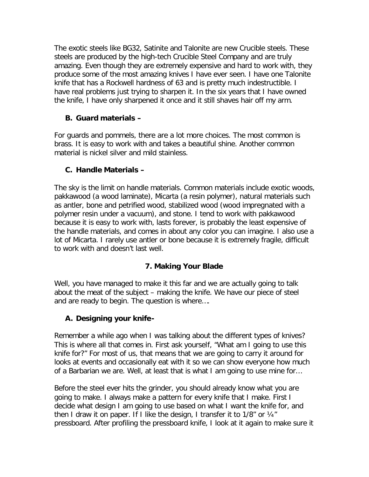The exotic steels like BG32, Satinite and Talonite are new Crucible steels. These steels are produced by the high-tech Crucible Steel Company and are truly amazing. Even though they are extremely expensive and hard to work with, they produce some of the most amazing knives I have ever seen. I have one Talonite knife that has a Rockwell hardness of 63 and is pretty much indestructible. I have real problems just trying to sharpen it. In the six years that I have owned the knife, I have only sharpened it once and it still shaves hair off my arm.

## **B. Guard materials –**

For guards and pommels, there are a lot more choices. The most common is brass. It is easy to work with and takes a beautiful shine. Another common material is nickel silver and mild stainless.

## **C. Handle Materials –**

The sky is the limit on handle materials. Common materials include exotic woods, pakkawood (a wood laminate), Micarta (a resin polymer), natural materials such as antler, bone and petrified wood, stabilized wood (wood impregnated with a polymer resin under a vacuum), and stone. I tend to work with pakkawood because it is easy to work with, lasts forever, is probably the least expensive of the handle materials, and comes in about any color you can imagine. I also use a lot of Micarta. I rarely use antler or bone because it is extremely fragile, difficult to work with and doesn't last well.

# **7. Making Your Blade**

Well, you have managed to make it this far and we are actually going to talk about the meat of the subject – making the knife. We have our piece of steel and are ready to begin. The question is where….

### **A. Designing your knife-**

Remember a while ago when I was talking about the different types of knives? This is where all that comes in. First ask yourself, "What am I going to use this knife for?" For most of us, that means that we are going to carry it around for looks at events and occasionally eat with it so we can show everyone how much of a Barbarian we are. Well, at least that is what I am going to use mine for…

Before the steel ever hits the grinder, you should already know what you are going to make. I always make a pattern for every knife that I make. First I decide what design I am going to use based on what I want the knife for, and then I draw it on paper. If I like the design, I transfer it to 1/8" or ¼" pressboard. After profiling the pressboard knife, I look at it again to make sure it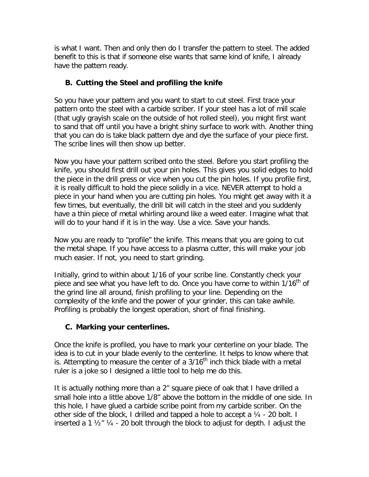is what I want. Then and only then do I transfer the pattern to steel. The added benefit to this is that if someone else wants that same kind of knife, I already have the pattern ready.

## **B. Cutting the Steel and profiling the knife**

So you have your pattern and you want to start to cut steel. First trace your pattern onto the steel with a carbide scriber. If your steel has a lot of mill scale (that ugly grayish scale on the outside of hot rolled steel), you might first want to sand that off until you have a bright shiny surface to work with. Another thing that you can do is take black pattern dye and dye the surface of your piece first. The scribe lines will then show up better.

Now you have your pattern scribed onto the steel. Before you start profiling the knife, you should first drill out your pin holes. This gives you solid edges to hold the piece in the drill press or vice when you cut the pin holes. If you profile first, it is really difficult to hold the piece solidly in a vice. NEVER attempt to hold a piece in your hand when you are cutting pin holes. You might get away with it a few times, but eventually, the drill bit will catch in the steel and you suddenly have a thin piece of metal whirling around like a weed eater. Imagine what that will do to your hand if it is in the way. Use a vice. Save your hands.

Now you are ready to "profile" the knife. This means that you are going to cut the metal shape. If you have access to a plasma cutter, this will make your job much easier. If not, you need to start grinding.

Initially, grind to within about 1/16 of your scribe line. Constantly check your piece and see what you have left to do. Once you have come to within 1/16<sup>th</sup> of the grind line all around, finish profiling to your line. Depending on the complexity of the knife and the power of your grinder, this can take awhile. Profiling is probably the longest operation, short of final finishing.

### **C. Marking your centerlines.**

Once the knife is profiled, you have to mark your centerline on your blade. The idea is to cut in your blade evenly to the centerline. It helps to know where that is. Attempting to measure the center of a  $3/16<sup>th</sup>$  inch thick blade with a metal ruler is a joke so I designed a little tool to help me do this.

It is actually nothing more than a 2" square piece of oak that I have drilled a small hole into a little above 1/8" above the bottom in the middle of one side. In this hole, I have glued a carbide scribe point from my carbide scriber. On the other side of the block, I drilled and tapped a hole to accept a  $\frac{1}{4}$  - 20 bolt. I inserted a 1  $\frac{1}{2}$  % - 20 bolt through the block to adjust for depth. I adjust the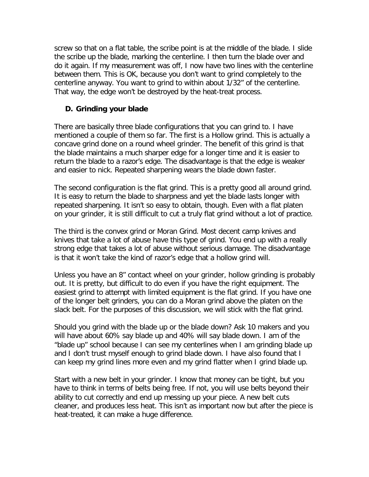screw so that on a flat table, the scribe point is at the middle of the blade. I slide the scribe up the blade, marking the centerline. I then turn the blade over and do it again. If my measurement was off, I now have two lines with the centerline between them. This is OK, because you don't want to grind completely to the centerline anyway. You want to grind to within about 1/32" of the centerline. That way, the edge won't be destroyed by the heat-treat process.

#### **D. Grinding your blade**

There are basically three blade configurations that you can grind to. I have mentioned a couple of them so far. The first is a Hollow grind. This is actually a concave grind done on a round wheel grinder. The benefit of this grind is that the blade maintains a much sharper edge for a longer time and it is easier to return the blade to a razor's edge. The disadvantage is that the edge is weaker and easier to nick. Repeated sharpening wears the blade down faster.

The second configuration is the flat grind. This is a pretty good all around grind. It is easy to return the blade to sharpness and yet the blade lasts longer with repeated sharpening. It isn't so easy to obtain, though. Even with a flat platen on your grinder, it is still difficult to cut a truly flat grind without a lot of practice.

The third is the convex grind or Moran Grind. Most decent camp knives and knives that take a lot of abuse have this type of grind. You end up with a really strong edge that takes a lot of abuse without serious damage. The disadvantage is that it won't take the kind of razor's edge that a hollow grind will.

Unless you have an 8" contact wheel on your grinder, hollow grinding is probably out. It is pretty, but difficult to do even if you have the right equipment. The easiest grind to attempt with limited equipment is the flat grind. If you have one of the longer belt grinders, you can do a Moran grind above the platen on the slack belt. For the purposes of this discussion, we will stick with the flat grind.

Should you grind with the blade up or the blade down? Ask 10 makers and you will have about 60% say blade up and 40% will say blade down. I am of the "blade up" school because I can see my centerlines when I am grinding blade up and I don't trust myself enough to grind blade down. I have also found that I can keep my grind lines more even and my grind flatter when I grind blade up.

Start with a new belt in your grinder. I know that money can be tight, but you have to think in terms of belts being free. If not, you will use belts beyond their ability to cut correctly and end up messing up your piece. A new belt cuts cleaner, and produces less heat. This isn't as important now but after the piece is heat-treated, it can make a huge difference.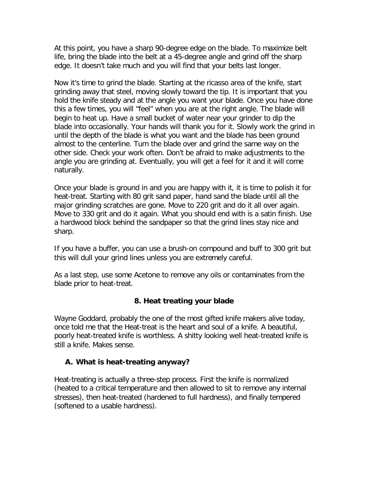At this point, you have a sharp 90-degree edge on the blade. To maximize belt life, bring the blade into the belt at a 45-degree angle and grind off the sharp edge. It doesn't take much and you will find that your belts last longer.

Now it's time to grind the blade. Starting at the ricasso area of the knife, start grinding away that steel, moving slowly toward the tip. It is important that you hold the knife steady and at the angle you want your blade. Once you have done this a few times, you will "feel" when you are at the right angle. The blade will begin to heat up. Have a small bucket of water near your grinder to dip the blade into occasionally. Your hands will thank you for it. Slowly work the grind in until the depth of the blade is what you want and the blade has been ground almost to the centerline. Turn the blade over and grind the same way on the other side. Check your work often. Don't be afraid to make adjustments to the angle you are grinding at. Eventually, you will get a feel for it and it will come naturally.

Once your blade is ground in and you are happy with it, it is time to polish it for heat-treat. Starting with 80 grit sand paper, hand sand the blade until all the major grinding scratches are gone. Move to 220 grit and do it all over again. Move to 330 grit and do it again. What you should end with is a satin finish. Use a hardwood block behind the sandpaper so that the grind lines stay nice and sharp.

If you have a buffer, you can use a brush-on compound and buff to 300 grit but this will dull your grind lines unless you are extremely careful.

As a last step, use some Acetone to remove any oils or contaminates from the blade prior to heat-treat.

### **8. Heat treating your blade**

Wayne Goddard, probably the one of the most gifted knife makers alive today, once told me that the Heat-treat is the heart and soul of a knife. A beautiful, poorly heat-treated knife is worthless. A shitty looking well heat-treated knife is still a knife. Makes sense.

#### **A. What is heat-treating anyway?**

Heat-treating is actually a three-step process. First the knife is normalized (heated to a critical temperature and then allowed to sit to remove any internal stresses), then heat-treated (hardened to full hardness), and finally tempered (softened to a usable hardness).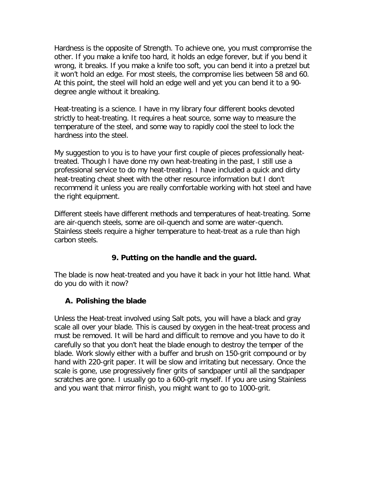Hardness is the opposite of Strength. To achieve one, you must compromise the other. If you make a knife too hard, it holds an edge forever, but if you bend it wrong, it breaks. If you make a knife too soft, you can bend it into a pretzel but it won't hold an edge. For most steels, the compromise lies between 58 and 60. At this point, the steel will hold an edge well and yet you can bend it to a 90 degree angle without it breaking.

Heat-treating is a science. I have in my library four different books devoted strictly to heat-treating. It requires a heat source, some way to measure the temperature of the steel, and some way to rapidly cool the steel to lock the hardness into the steel.

My suggestion to you is to have your first couple of pieces professionally heattreated. Though I have done my own heat-treating in the past, I still use a professional service to do my heat-treating. I have included a quick and dirty heat-treating cheat sheet with the other resource information but I don't recommend it unless you are really comfortable working with hot steel and have the right equipment.

Different steels have different methods and temperatures of heat-treating. Some are air-quench steels, some are oil-quench and some are water-quench. Stainless steels require a higher temperature to heat-treat as a rule than high carbon steels.

### **9. Putting on the handle and the guard.**

The blade is now heat-treated and you have it back in your hot little hand. What do you do with it now?

### **A. Polishing the blade**

Unless the Heat-treat involved using Salt pots, you will have a black and gray scale all over your blade. This is caused by oxygen in the heat-treat process and must be removed. It will be hard and difficult to remove and you have to do it carefully so that you don't heat the blade enough to destroy the temper of the blade. Work slowly either with a buffer and brush on 150-grit compound or by hand with 220-grit paper. It will be slow and irritating but necessary. Once the scale is gone, use progressively finer grits of sandpaper until all the sandpaper scratches are gone. I usually go to a 600-grit myself. If you are using Stainless and you want that mirror finish, you might want to go to 1000-grit.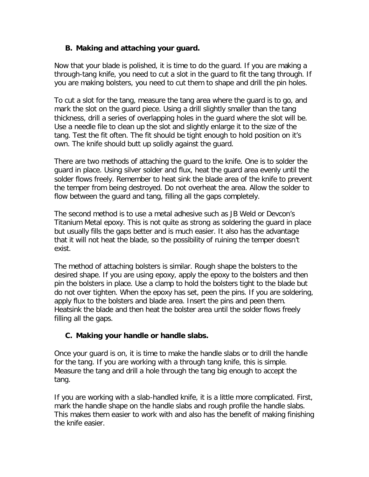### **B. Making and attaching your guard.**

Now that your blade is polished, it is time to do the guard. If you are making a through-tang knife, you need to cut a slot in the guard to fit the tang through. If you are making bolsters, you need to cut them to shape and drill the pin holes.

To cut a slot for the tang, measure the tang area where the guard is to go, and mark the slot on the guard piece. Using a drill slightly smaller than the tang thickness, drill a series of overlapping holes in the guard where the slot will be. Use a needle file to clean up the slot and slightly enlarge it to the size of the tang. Test the fit often. The fit should be tight enough to hold position on it's own. The knife should butt up solidly against the guard.

There are two methods of attaching the guard to the knife. One is to solder the guard in place. Using silver solder and flux, heat the guard area evenly until the solder flows freely. Remember to heat sink the blade area of the knife to prevent the temper from being destroyed. Do not overheat the area. Allow the solder to flow between the guard and tang, filling all the gaps completely.

The second method is to use a metal adhesive such as JB Weld or Devcon's Titanium Metal epoxy. This is not quite as strong as soldering the guard in place but usually fills the gaps better and is much easier. It also has the advantage that it will not heat the blade, so the possibility of ruining the temper doesn't exist.

The method of attaching bolsters is similar. Rough shape the bolsters to the desired shape. If you are using epoxy, apply the epoxy to the bolsters and then pin the bolsters in place. Use a clamp to hold the bolsters tight to the blade but do not over tighten. When the epoxy has set, peen the pins. If you are soldering, apply flux to the bolsters and blade area. Insert the pins and peen them. Heatsink the blade and then heat the bolster area until the solder flows freely filling all the gaps.

### **C. Making your handle or handle slabs.**

Once your guard is on, it is time to make the handle slabs or to drill the handle for the tang. If you are working with a through tang knife, this is simple. Measure the tang and drill a hole through the tang big enough to accept the tang.

If you are working with a slab-handled knife, it is a little more complicated. First, mark the handle shape on the handle slabs and rough profile the handle slabs. This makes them easier to work with and also has the benefit of making finishing the knife easier.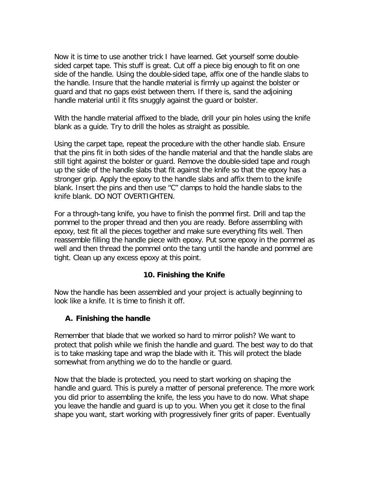Now it is time to use another trick I have learned. Get yourself some doublesided carpet tape. This stuff is great. Cut off a piece big enough to fit on one side of the handle. Using the double-sided tape, affix one of the handle slabs to the handle. Insure that the handle material is firmly up against the bolster or guard and that no gaps exist between them. If there is, sand the adjoining handle material until it fits snuggly against the guard or bolster.

With the handle material affixed to the blade, drill your pin holes using the knife blank as a guide. Try to drill the holes as straight as possible.

Using the carpet tape, repeat the procedure with the other handle slab. Ensure that the pins fit in both sides of the handle material and that the handle slabs are still tight against the bolster or guard. Remove the double-sided tape and rough up the side of the handle slabs that fit against the knife so that the epoxy has a stronger grip. Apply the epoxy to the handle slabs and affix them to the knife blank. Insert the pins and then use "C" clamps to hold the handle slabs to the knife blank. DO NOT OVERTIGHTEN.

For a through-tang knife, you have to finish the pommel first. Drill and tap the pommel to the proper thread and then you are ready. Before assembling with epoxy, test fit all the pieces together and make sure everything fits well. Then reassemble filling the handle piece with epoxy. Put some epoxy in the pommel as well and then thread the pommel onto the tang until the handle and pommel are tight. Clean up any excess epoxy at this point.

### **10. Finishing the Knife**

Now the handle has been assembled and your project is actually beginning to look like a knife. It is time to finish it off.

#### **A. Finishing the handle**

Remember that blade that we worked so hard to mirror polish? We want to protect that polish while we finish the handle and guard. The best way to do that is to take masking tape and wrap the blade with it. This will protect the blade somewhat from anything we do to the handle or guard.

Now that the blade is protected, you need to start working on shaping the handle and guard. This is purely a matter of personal preference. The more work you did prior to assembling the knife, the less you have to do now. What shape you leave the handle and guard is up to you. When you get it close to the final shape you want, start working with progressively finer grits of paper. Eventually